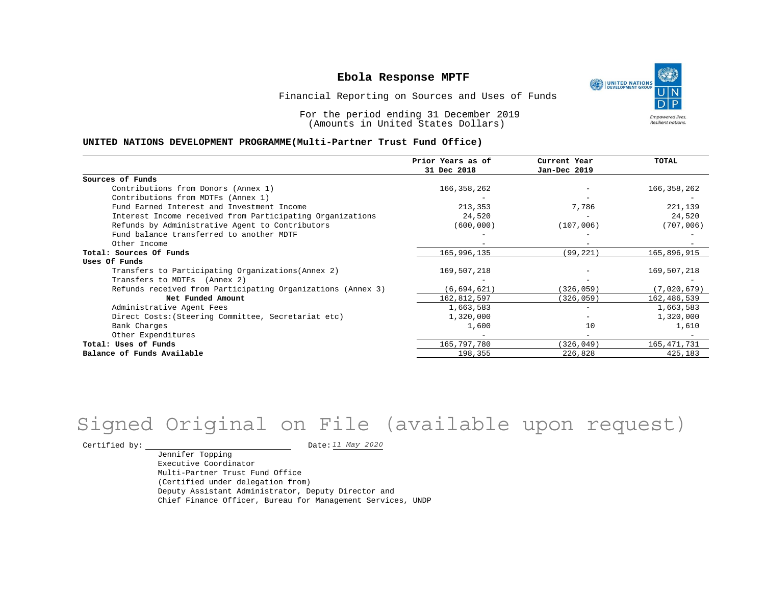UNITED NATIONS **Empowered lives** Resilient nations.

Financial Reporting on Sources and Uses of Funds

For the period ending 31 December 2019 (Amounts in United States Dollars)

#### **UNITED NATIONS DEVELOPMENT PROGRAMME(Multi-Partner Trust Fund Office)**

|                                                             | Prior Years as of | Current Year             | <b>TOTAL</b> |
|-------------------------------------------------------------|-------------------|--------------------------|--------------|
|                                                             | 31 Dec 2018       | Jan-Dec 2019             |              |
| Sources of Funds                                            |                   |                          |              |
| Contributions from Donors (Annex 1)                         | 166, 358, 262     |                          | 166,358,262  |
| Contributions from MDTFs (Annex 1)                          |                   |                          |              |
| Fund Earned Interest and Investment Income                  | 213,353           | 7,786                    | 221,139      |
| Interest Income received from Participating Organizations   | 24,520            |                          | 24,520       |
| Refunds by Administrative Agent to Contributors             | (600, 000)        | (107,006)                | (707,006)    |
| Fund balance transferred to another MDTF                    |                   |                          |              |
| Other Income                                                |                   |                          |              |
| Total: Sources Of Funds                                     | 165,996,135       | (99, 221)                | 165,896,915  |
| Uses Of Funds                                               |                   |                          |              |
| Transfers to Participating Organizations (Annex 2)          | 169,507,218       |                          | 169,507,218  |
| Transfers to MDTFs (Annex 2)                                |                   |                          |              |
| Refunds received from Participating Organizations (Annex 3) | (6,694,621)       | (326,059)                | (7,020,679)  |
| Net Funded Amount                                           | 162,812,597       | (326, 059)               | 162,486,539  |
| Administrative Agent Fees                                   | 1,663,583         | $\overline{\phantom{0}}$ | 1,663,583    |
| Direct Costs: (Steering Committee, Secretariat etc)         | 1,320,000         |                          | 1,320,000    |
| Bank Charges                                                | 1,600             | 10                       | 1,610        |
| Other Expenditures                                          |                   |                          |              |
| Total: Uses of Funds                                        | 165,797,780       | (326, 049)               | 165,471,731  |
| Balance of Funds Available                                  | 198,355           | 226,828                  | 425,183      |

## Signed Original on File (available upon request)

Certified by:  $\frac{11 May 2020}{100}$ 

Jennifer Topping Executive Coordinator Multi-Partner Trust Fund Office (Certified under delegation from) Deputy Assistant Administrator, Deputy Director and Chief Finance Officer, Bureau for Management Services, UNDP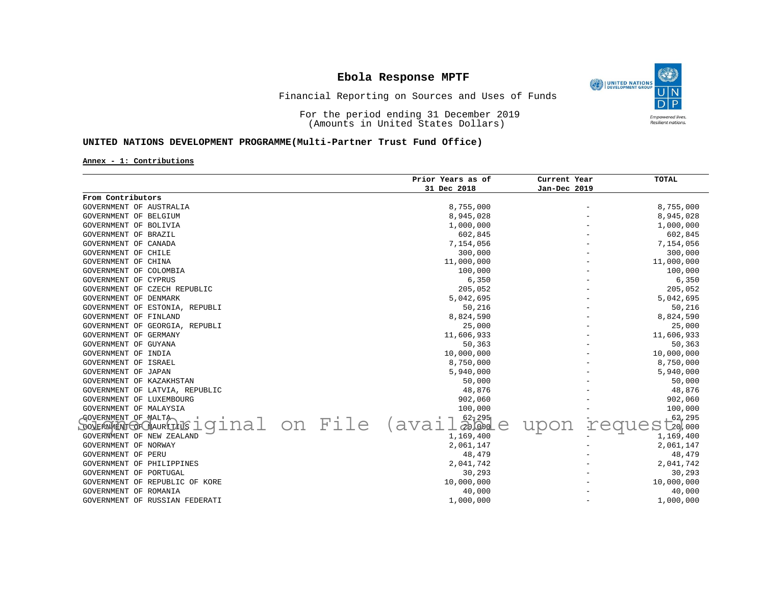O) UNITED NATIONS Empowered lives.<br>Resilient nations.

Financial Reporting on Sources and Uses of Funds

For the period ending 31 December 2019 (Amounts in United States Dollars)

### **UNITED NATIONS DEVELOPMENT PROGRAMME(Multi-Partner Trust Fund Office)**

**Annex - 1: Contributions**

|                                |  | Prior Years as of               | Current Year | <b>TOTAL</b>    |
|--------------------------------|--|---------------------------------|--------------|-----------------|
|                                |  | 31 Dec 2018                     | Jan-Dec 2019 |                 |
| From Contributors              |  |                                 |              |                 |
| GOVERNMENT OF AUSTRALIA        |  | 8,755,000                       |              | 8,755,000       |
| GOVERNMENT OF BELGIUM          |  | 8,945,028                       |              | 8,945,028       |
| GOVERNMENT OF BOLIVIA          |  | 1,000,000                       |              | 1,000,000       |
| GOVERNMENT OF BRAZIL           |  | 602,845                         |              | 602,845         |
| GOVERNMENT OF CANADA           |  | 7,154,056                       |              | 7,154,056       |
| GOVERNMENT OF CHILE            |  | 300,000                         |              | 300,000         |
| GOVERNMENT OF CHINA            |  | 11,000,000                      |              | 11,000,000      |
| GOVERNMENT OF COLOMBIA         |  | 100,000                         |              | 100,000         |
| GOVERNMENT OF CYPRUS           |  | 6,350                           |              | 6,350           |
| GOVERNMENT OF CZECH REPUBLIC   |  | 205,052                         |              | 205,052         |
| GOVERNMENT OF DENMARK          |  | 5,042,695                       |              | 5,042,695       |
| GOVERNMENT OF ESTONIA, REPUBLI |  | 50,216                          |              | 50,216          |
| GOVERNMENT OF FINLAND          |  | 8,824,590                       |              | 8,824,590       |
| GOVERNMENT OF GEORGIA, REPUBLI |  | 25,000                          |              | 25,000          |
| GOVERNMENT OF GERMANY          |  | 11,606,933                      |              | 11,606,933      |
| GOVERNMENT OF GUYANA           |  | 50,363                          |              | 50,363          |
| GOVERNMENT OF INDIA            |  | 10,000,000                      |              | 10,000,000      |
| GOVERNMENT OF ISRAEL           |  | 8,750,000                       |              | 8,750,000       |
| GOVERNMENT OF JAPAN            |  | 5,940,000                       |              | 5,940,000       |
| GOVERNMENT OF KAZAKHSTAN       |  | 50,000                          |              | 50,000          |
| GOVERNMENT OF LATVIA, REPUBLIC |  | 48,876                          |              | 48,876          |
| GOVERNMENT OF LUXEMBOURG       |  | 902,060                         |              | 902,060         |
| GOVERNMENT OF MALAYSIA         |  | 100,000                         |              | 100,000         |
| <b>GOVERNMENT OF MALTA</b>     |  | 120237295<br>inal on File (avai |              | 62,295          |
| COVERMINICFORUR TILS           |  |                                 | upon         | requestion, 000 |
| GOVERNMENT OF NEW ZEALAND      |  | 1,169,400                       |              | 1,169,400       |
| GOVERNMENT OF NORWAY           |  | 2,061,147                       |              | 2,061,147       |
| GOVERNMENT OF PERU             |  | 48,479                          |              | 48,479          |
| GOVERNMENT OF PHILIPPINES      |  | 2,041,742                       |              | 2,041,742       |
| GOVERNMENT OF PORTUGAL         |  | 30,293                          |              | 30,293          |
| GOVERNMENT OF REPUBLIC OF KORE |  | 10,000,000                      |              | 10,000,000      |
| GOVERNMENT OF ROMANIA          |  | 40,000                          |              | 40,000          |
| GOVERNMENT OF RUSSIAN FEDERATI |  | 1,000,000                       |              | 1,000,000       |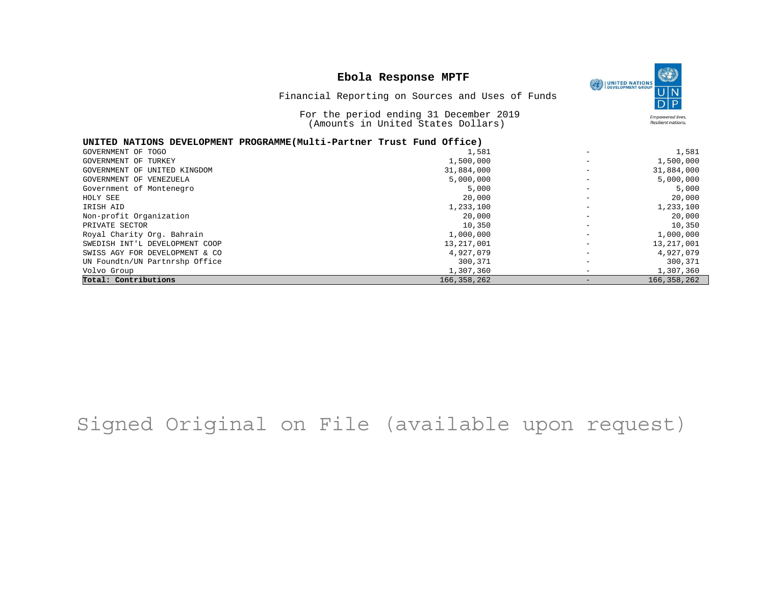|                                | Ebola Response MPTF<br>Financial Reporting on Sources and Uses of Funds<br>For the period ending 31 December 2019<br>(Amounts in United States Dollars) |                          | 经<br><b>UNITED NATIONS</b><br>DEVELOPMENT GROUP<br>U<br><b>Empowered lives.</b><br>Resilient nations. |
|--------------------------------|---------------------------------------------------------------------------------------------------------------------------------------------------------|--------------------------|-------------------------------------------------------------------------------------------------------|
|                                | UNITED NATIONS DEVELOPMENT PROGRAMME(Multi-Partner Trust Fund Office)                                                                                   |                          |                                                                                                       |
| GOVERNMENT OF TOGO             | 1,581                                                                                                                                                   |                          | 1,581                                                                                                 |
| GOVERNMENT OF TURKEY           | 1,500,000                                                                                                                                               |                          | 1,500,000                                                                                             |
| GOVERNMENT OF UNITED KINGDOM   | 31,884,000                                                                                                                                              |                          | 31,884,000                                                                                            |
| GOVERNMENT OF VENEZUELA        | 5,000,000                                                                                                                                               |                          | 5,000,000                                                                                             |
| Government of Montenegro       | 5,000                                                                                                                                                   | $\overline{\phantom{0}}$ | 5,000                                                                                                 |
| HOLY SEE                       | 20,000                                                                                                                                                  |                          | 20,000                                                                                                |
| IRISH AID                      | 1,233,100                                                                                                                                               |                          | 1,233,100                                                                                             |
| Non-profit Organization        | 20,000                                                                                                                                                  |                          | 20,000                                                                                                |
| PRIVATE SECTOR                 | 10,350                                                                                                                                                  |                          | 10,350                                                                                                |
| Royal Charity Org. Bahrain     | 1,000,000                                                                                                                                               |                          | 1,000,000                                                                                             |
| SWEDISH INT'L DEVELOPMENT COOP | 13,217,001                                                                                                                                              |                          | 13,217,001                                                                                            |
| SWISS AGY FOR DEVELOPMENT & CO | 4,927,079                                                                                                                                               |                          | 4,927,079                                                                                             |
| UN Foundtn/UN Partnrshp Office | 300,371                                                                                                                                                 |                          | 300,371                                                                                               |
| Volvo Group                    | 1,307,360                                                                                                                                               |                          | 1,307,360                                                                                             |
| Total: Contributions           | 166, 358, 262                                                                                                                                           |                          | 166,358,262                                                                                           |

## Signed Original on File (available upon request)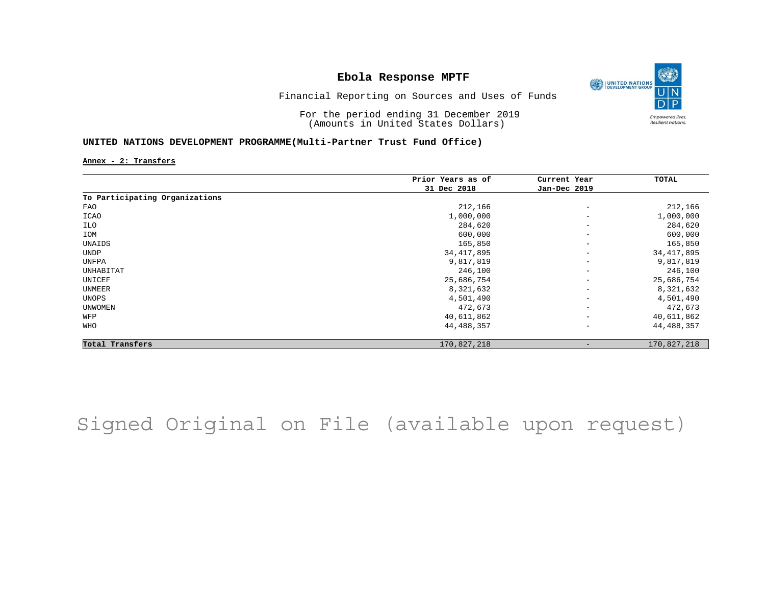

Financial Reporting on Sources and Uses of Funds

For the period ending 31 December 2019 (Amounts in United States Dollars)

#### **UNITED NATIONS DEVELOPMENT PROGRAMME(Multi-Partner Trust Fund Office)**

**Annex - 2: Transfers**

|                                | Prior Years as of | Current Year             | TOTAL        |
|--------------------------------|-------------------|--------------------------|--------------|
|                                | 31 Dec 2018       | Jan-Dec 2019             |              |
| To Participating Organizations |                   |                          |              |
| FAO                            | 212,166           | $\qquad \qquad -$        | 212,166      |
| ICAO                           | 1,000,000         | $\overline{\phantom{m}}$ | 1,000,000    |
| ILO                            | 284,620           | $\overline{\phantom{m}}$ | 284,620      |
| IOM                            | 600,000           | $\overline{\phantom{m}}$ | 600,000      |
| UNAIDS                         | 165,850           | $\overline{\phantom{m}}$ | 165,850      |
| UNDP                           | 34, 417, 895      | $\overline{\phantom{a}}$ | 34, 417, 895 |
| UNFPA                          | 9,817,819         | $\overline{\phantom{m}}$ | 9,817,819    |
| UNHABITAT                      | 246,100           | $\qquad \qquad -$        | 246,100      |
| UNICEF                         | 25,686,754        | $\overline{\phantom{m}}$ | 25,686,754   |
| UNMEER                         | 8,321,632         | $\overline{\phantom{m}}$ | 8,321,632    |
| UNOPS                          | 4,501,490         | $\overline{\phantom{m}}$ | 4,501,490    |
| <b>UNWOMEN</b>                 | 472,673           | $\overline{\phantom{m}}$ | 472,673      |
| WFP                            | 40,611,862        | $\overline{\phantom{m}}$ | 40,611,862   |
| WHO                            | 44,488,357        | $\qquad \qquad -$        | 44,488,357   |
| Total Transfers                | 170,827,218       |                          | 170,827,218  |

## Signed Original on File (available upon request)